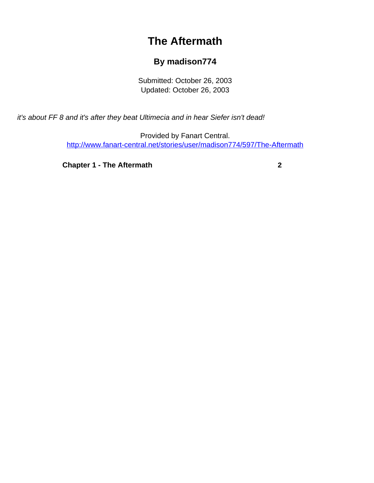## **The Aftermath**

## **By madison774**

Submitted: October 26, 2003 Updated: October 26, 2003

<span id="page-0-0"></span>it's about FF 8 and it's after they beat Ultimecia and in hear Siefer isn't dead!

Provided by Fanart Central. [http://www.fanart-central.net/stories/user/madison774/597/The-Aftermath](#page-0-0)

**[Chapter 1 - The Aftermath](#page-1-0)** [2](#page-1-0)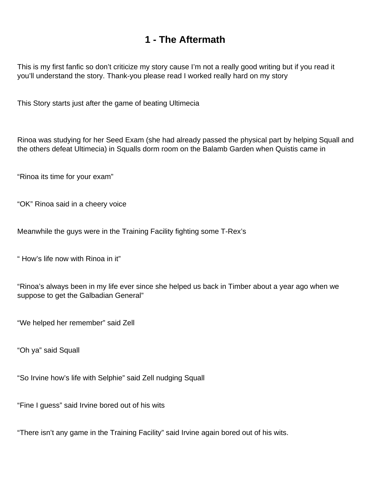## **1 - The Aftermath**

<span id="page-1-0"></span>This is my first fanfic so don't criticize my story cause I'm not a really good writing but if you read it you'll understand the story. Thank-you please read I worked really hard on my story

This Story starts just after the game of beating Ultimecia

Rinoa was studying for her Seed Exam (she had already passed the physical part by helping Squall and the others defeat Ultimecia) in Squalls dorm room on the Balamb Garden when Quistis came in

"Rinoa its time for your exam"

"OK" Rinoa said in a cheery voice

Meanwhile the guys were in the Training Facility fighting some T-Rex's

" How's life now with Rinoa in it"

"Rinoa's always been in my life ever since she helped us back in Timber about a year ago when we suppose to get the Galbadian General"

"We helped her remember" said Zell

"Oh ya" said Squall

"So Irvine how's life with Selphie" said Zell nudging Squall

"Fine I guess" said Irvine bored out of his wits

"There isn't any game in the Training Facility" said Irvine again bored out of his wits.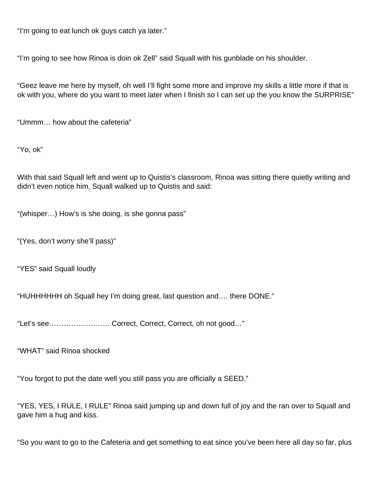"I'm going to eat lunch ok guys catch ya later."

"I'm going to see how Rinoa is doin ok Zell" said Squall with his gunblade on his shoulder.

"Geez leave me here by myself, oh well I'll fight some more and improve my skills a little more if that is ok with you, where do you want to meet later when I finish so I can set up the you know the SURPRISE"

"Ummm… how about the cafeteria"

"Yo, ok"

With that said Squall left and went up to Quistis's classroom, Rinoa was sitting there quietly writing and didn't even notice him, Squall walked up to Quistis and said:

"(whisper…) How's is she doing, is she gonna pass"

"(Yes, don't worry she'll pass)"

"YES" said Squall loudly

"HUHHHHHH oh Squall hey I'm doing great, last question and…. there DONE."

"Let's see……………………. Correct, Correct, Correct, oh not good…"

"WHAT" said Rinoa shocked

"You forgot to put the date well you still pass you are officially a SEED."

"YES, YES, I RULE, I RULE" Rinoa said jumping up and down full of joy and the ran over to Squall and gave him a hug and kiss.

"So you want to go to the Cafeteria and get something to eat since you've been here all day so far, plus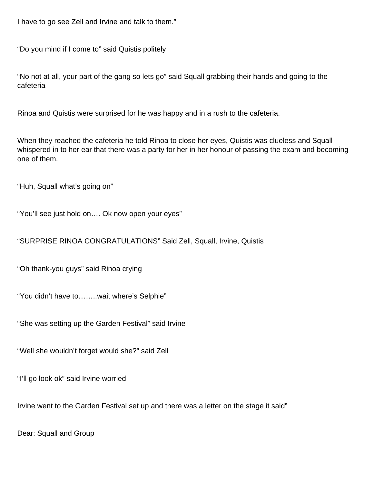I have to go see Zell and Irvine and talk to them."

"Do you mind if I come to" said Quistis politely

"No not at all, your part of the gang so lets go" said Squall grabbing their hands and going to the cafeteria

Rinoa and Quistis were surprised for he was happy and in a rush to the cafeteria.

When they reached the cafeteria he told Rinoa to close her eyes, Quistis was clueless and Squall whispered in to her ear that there was a party for her in her honour of passing the exam and becoming one of them.

"Huh, Squall what's going on"

"You'll see just hold on…. Ok now open your eyes"

"SURPRISE RINOA CONGRATULATIONS" Said Zell, Squall, Irvine, Quistis

"Oh thank-you guys" said Rinoa crying

"You didn't have to……..wait where's Selphie"

"She was setting up the Garden Festival" said Irvine

"Well she wouldn't forget would she?" said Zell

"I'll go look ok" said Irvine worried

Irvine went to the Garden Festival set up and there was a letter on the stage it said"

Dear: Squall and Group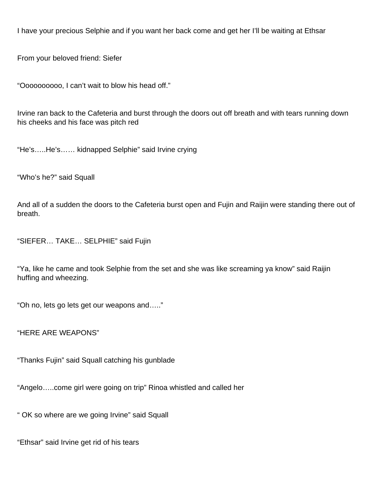I have your precious Selphie and if you want her back come and get her I'll be waiting at Ethsar

From your beloved friend: Siefer

"Oooooooooo, I can't wait to blow his head off."

Irvine ran back to the Cafeteria and burst through the doors out off breath and with tears running down his cheeks and his face was pitch red

"He's…..He's…… kidnapped Selphie" said Irvine crying

"Who's he?" said Squall

And all of a sudden the doors to the Cafeteria burst open and Fujin and Raijin were standing there out of breath.

"SIEFER… TAKE… SELPHIE" said Fujin

"Ya, like he came and took Selphie from the set and she was like screaming ya know" said Raijin huffing and wheezing.

"Oh no, lets go lets get our weapons and….."

"HERE ARE WEAPONS"

"Thanks Fujin" said Squall catching his gunblade

"Angelo…..come girl were going on trip" Rinoa whistled and called her

" OK so where are we going Irvine" said Squall

"Ethsar" said Irvine get rid of his tears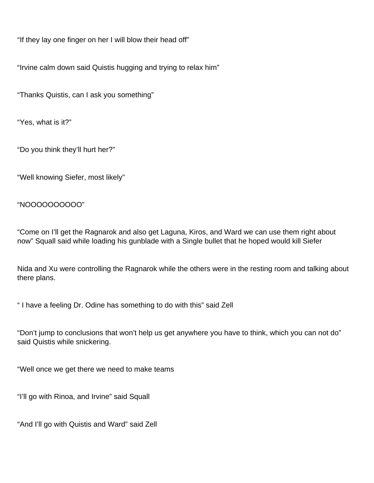"If they lay one finger on her I will blow their head off"

"Irvine calm down said Quistis hugging and trying to relax him"

"Thanks Quistis, can I ask you something"

"Yes, what is it?"

"Do you think they'll hurt her?"

"Well knowing Siefer, most likely"

"NOOOOOOOOOO"

"Come on I'll get the Ragnarok and also get Laguna, Kiros, and Ward we can use them right about now" Squall said while loading his gunblade with a Single bullet that he hoped would kill Siefer

Nida and Xu were controlling the Ragnarok while the others were in the resting room and talking about there plans.

" I have a feeling Dr. Odine has something to do with this" said Zell

"Don't jump to conclusions that won't help us get anywhere you have to think, which you can not do" said Quistis while snickering.

"Well once we get there we need to make teams

"I'll go with Rinoa, and Irvine" said Squall

"And I'll go with Quistis and Ward" said Zell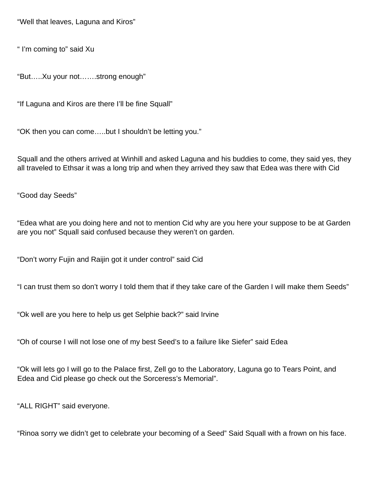"Well that leaves, Laguna and Kiros"

" I'm coming to" said Xu

"But…..Xu your not…….strong enough"

"If Laguna and Kiros are there I'll be fine Squall"

"OK then you can come…..but I shouldn't be letting you."

Squall and the others arrived at Winhill and asked Laguna and his buddies to come, they said yes, they all traveled to Ethsar it was a long trip and when they arrived they saw that Edea was there with Cid

"Good day Seeds"

"Edea what are you doing here and not to mention Cid why are you here your suppose to be at Garden are you not" Squall said confused because they weren't on garden.

"Don't worry Fujin and Raijin got it under control" said Cid

"I can trust them so don't worry I told them that if they take care of the Garden I will make them Seeds"

"Ok well are you here to help us get Selphie back?" said Irvine

"Oh of course I will not lose one of my best Seed's to a failure like Siefer" said Edea

"Ok will lets go I will go to the Palace first, Zell go to the Laboratory, Laguna go to Tears Point, and Edea and Cid please go check out the Sorceress's Memorial".

"ALL RIGHT" said everyone.

"Rinoa sorry we didn't get to celebrate your becoming of a Seed" Said Squall with a frown on his face.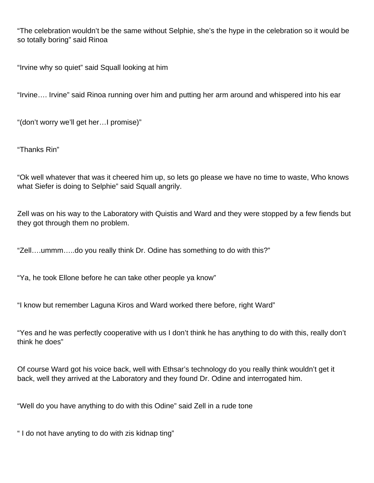"The celebration wouldn't be the same without Selphie, she's the hype in the celebration so it would be so totally boring" said Rinoa

"Irvine why so quiet" said Squall looking at him

"Irvine…. Irvine" said Rinoa running over him and putting her arm around and whispered into his ear

"(don't worry we'll get her…I promise)"

"Thanks Rin"

"Ok well whatever that was it cheered him up, so lets go please we have no time to waste, Who knows what Siefer is doing to Selphie" said Squall angrily.

Zell was on his way to the Laboratory with Quistis and Ward and they were stopped by a few fiends but they got through them no problem.

"Zell….ummm…..do you really think Dr. Odine has something to do with this?"

"Ya, he took Ellone before he can take other people ya know"

"I know but remember Laguna Kiros and Ward worked there before, right Ward"

"Yes and he was perfectly cooperative with us I don't think he has anything to do with this, really don't think he does"

Of course Ward got his voice back, well with Ethsar's technology do you really think wouldn't get it back, well they arrived at the Laboratory and they found Dr. Odine and interrogated him.

"Well do you have anything to do with this Odine" said Zell in a rude tone

" I do not have anyting to do with zis kidnap ting"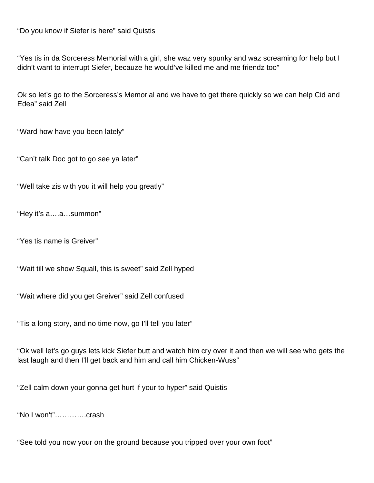"Do you know if Siefer is here" said Quistis

"Yes tis in da Sorceress Memorial with a girl, she waz very spunky and waz screaming for help but I didn't want to interrupt Siefer, becauze he would've killed me and me friendz too"

Ok so let's go to the Sorceress's Memorial and we have to get there quickly so we can help Cid and Edea" said Zell

"Ward how have you been lately"

"Can't talk Doc got to go see ya later"

"Well take zis with you it will help you greatly"

"Hey it's a….a…summon"

"Yes tis name is Greiver"

"Wait till we show Squall, this is sweet" said Zell hyped

"Wait where did you get Greiver" said Zell confused

"Tis a long story, and no time now, go I'll tell you later"

"Ok well let's go guys lets kick Siefer butt and watch him cry over it and then we will see who gets the last laugh and then I'll get back and him and call him Chicken-Wuss"

"Zell calm down your gonna get hurt if your to hyper" said Quistis

"No I won't"………….crash

"See told you now your on the ground because you tripped over your own foot"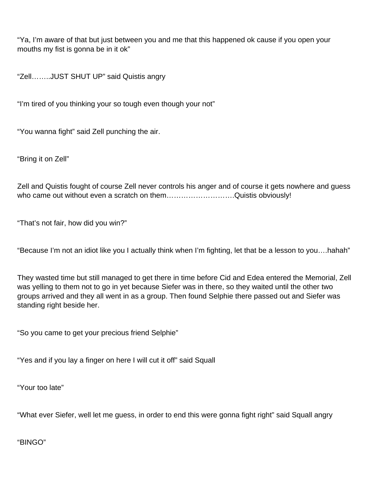"Ya, I'm aware of that but just between you and me that this happened ok cause if you open your mouths my fist is gonna be in it ok"

"Zell……..JUST SHUT UP" said Quistis angry

"I'm tired of you thinking your so tough even though your not"

"You wanna fight" said Zell punching the air.

"Bring it on Zell"

Zell and Quistis fought of course Zell never controls his anger and of course it gets nowhere and guess who came out without even a scratch on them...............................Quistis obviously!

"That's not fair, how did you win?"

"Because I'm not an idiot like you I actually think when I'm fighting, let that be a lesson to you….hahah"

They wasted time but still managed to get there in time before Cid and Edea entered the Memorial, Zell was yelling to them not to go in yet because Siefer was in there, so they waited until the other two groups arrived and they all went in as a group. Then found Selphie there passed out and Siefer was standing right beside her.

"So you came to get your precious friend Selphie"

"Yes and if you lay a finger on here I will cut it off" said Squall

"Your too late"

"What ever Siefer, well let me guess, in order to end this were gonna fight right" said Squall angry

"BINGO"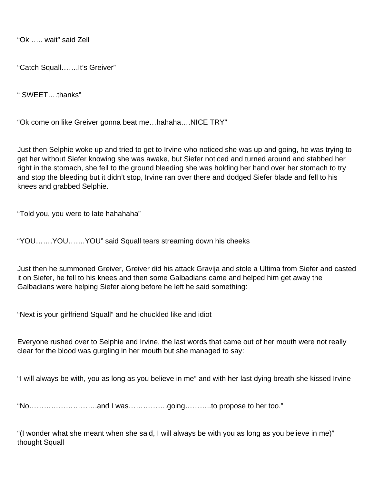"Ok ….. wait" said Zell

"Catch Squall…….It's Greiver"

" SWEET….thanks"

"Ok come on like Greiver gonna beat me…hahaha….NICE TRY"

Just then Selphie woke up and tried to get to Irvine who noticed she was up and going, he was trying to get her without Siefer knowing she was awake, but Siefer noticed and turned around and stabbed her right in the stomach, she fell to the ground bleeding she was holding her hand over her stomach to try and stop the bleeding but it didn't stop, Irvine ran over there and dodged Siefer blade and fell to his knees and grabbed Selphie.

"Told you, you were to late hahahaha"

"YOU…….YOU…….YOU" said Squall tears streaming down his cheeks

Just then he summoned Greiver, Greiver did his attack Gravija and stole a Ultima from Siefer and casted it on Siefer, he fell to his knees and then some Galbadians came and helped him get away the Galbadians were helping Siefer along before he left he said something:

"Next is your girlfriend Squall" and he chuckled like and idiot

Everyone rushed over to Selphie and Irvine, the last words that came out of her mouth were not really clear for the blood was gurgling in her mouth but she managed to say:

"I will always be with, you as long as you believe in me" and with her last dying breath she kissed Irvine

"No……………………….and I was…………….going………..to propose to her too."

"(I wonder what she meant when she said, I will always be with you as long as you believe in me)" thought Squall